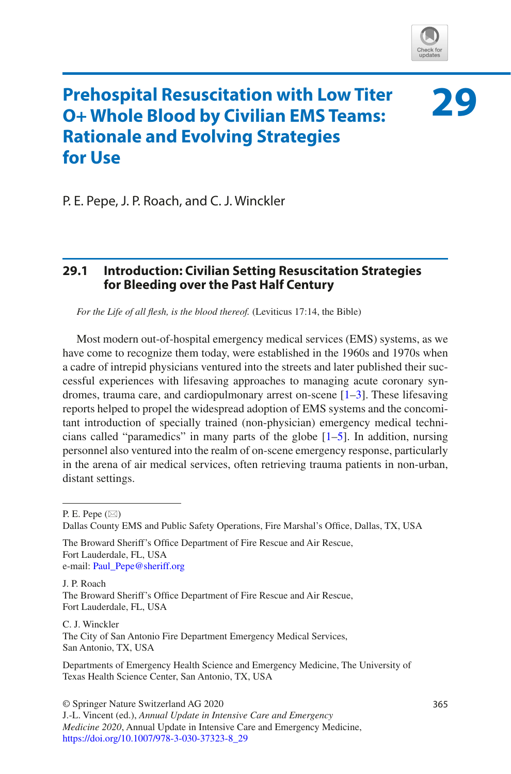

# **29 Prehospital Resuscitation with Low Titer O+ Whole Blood by Civilian EMS Teams: Rationale and Evolving Strategies for Use**

P. E. Pepe, J. P. Roach, and C. J. Winckler

# **29.1 Introduction: Civilian Setting Resuscitation Strategies for Bleeding over the Past Half Century**

*For the Life of all flesh, is the blood thereof.* (Leviticus 17:14, the Bible)

Most modern out-of-hospital emergency medical services (EMS) systems, as we have come to recognize them today, were established in the 1960s and 1970s when a cadre of intrepid physicians ventured into the streets and later published their successful experiences with lifesaving approaches to managing acute coronary syndromes, trauma care, and cardiopulmonary arrest on-scene [\[1](#page-9-0)[–3](#page-9-1)]. These lifesaving reports helped to propel the widespread adoption of EMS systems and the concomitant introduction of specially trained (non-physician) emergency medical technicians called "paramedics" in many parts of the globe [\[1](#page-9-0)[–5](#page-9-2)]. In addition, nursing personnel also ventured into the realm of on-scene emergency response, particularly in the arena of air medical services, often retrieving trauma patients in non-urban, distant settings.

P. E. Pepe  $(\boxtimes)$ 

Dallas County EMS and Public Safety Operations, Fire Marshal's Office, Dallas, TX, USA

The Broward Sheriff's Office Department of Fire Rescue and Air Rescue, Fort Lauderdale, FL, USA e-mail: [Paul\\_Pepe@sheriff.org](mailto:Paul_Pepe@sheriff.org)

J. P. Roach The Broward Sheriff's Office Department of Fire Rescue and Air Rescue, Fort Lauderdale, FL, USA

C. J. Winckler The City of San Antonio Fire Department Emergency Medical Services, San Antonio, TX, USA

Departments of Emergency Health Science and Emergency Medicine, The University of Texas Health Science Center, San Antonio, TX, USA

© Springer Nature Switzerland AG 2020 365

J.-L. Vincent (ed.), *Annual Update in Intensive Care and Emergency Medicine 2020*, Annual Update in Intensive Care and Emergency Medicine, [https://doi.org/10.1007/978-3-030-37323-8\\_29](https://doi.org/10.1007/978-3-030-37323-8_29)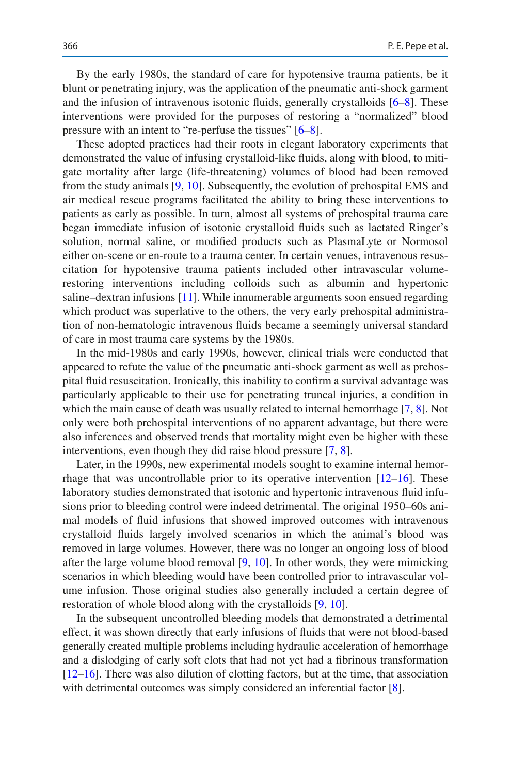By the early 1980s, the standard of care for hypotensive trauma patients, be it blunt or penetrating injury, was the application of the pneumatic anti-shock garment and the infusion of intravenous isotonic fluids, generally crystalloids [[6–](#page-9-3)[8\]](#page-10-0). These interventions were provided for the purposes of restoring a "normalized" blood pressure with an intent to "re-perfuse the tissues" [[6–](#page-9-3)[8\]](#page-10-0).

These adopted practices had their roots in elegant laboratory experiments that demonstrated the value of infusing crystalloid-like fluids, along with blood, to mitigate mortality after large (life-threatening) volumes of blood had been removed from the study animals [[9,](#page-10-1) [10\]](#page-10-2). Subsequently, the evolution of prehospital EMS and air medical rescue programs facilitated the ability to bring these interventions to patients as early as possible. In turn, almost all systems of prehospital trauma care began immediate infusion of isotonic crystalloid fluids such as lactated Ringer's solution, normal saline, or modified products such as PlasmaLyte or Normosol either on-scene or en-route to a trauma center. In certain venues, intravenous resuscitation for hypotensive trauma patients included other intravascular volumerestoring interventions including colloids such as albumin and hypertonic saline–dextran infusions [\[11](#page-10-3)]. While innumerable arguments soon ensued regarding which product was superlative to the others, the very early prehospital administration of non-hematologic intravenous fluids became a seemingly universal standard of care in most trauma care systems by the 1980s.

In the mid-1980s and early 1990s, however, clinical trials were conducted that appeared to refute the value of the pneumatic anti-shock garment as well as prehospital fluid resuscitation. Ironically, this inability to confirm a survival advantage was particularly applicable to their use for penetrating truncal injuries, a condition in which the main cause of death was usually related to internal hemorrhage [\[7](#page-10-4), [8\]](#page-10-0). Not only were both prehospital interventions of no apparent advantage, but there were also inferences and observed trends that mortality might even be higher with these interventions, even though they did raise blood pressure [[7,](#page-10-4) [8\]](#page-10-0).

Later, in the 1990s, new experimental models sought to examine internal hemorrhage that was uncontrollable prior to its operative intervention  $[12–16]$  $[12–16]$  $[12–16]$ . These laboratory studies demonstrated that isotonic and hypertonic intravenous fluid infusions prior to bleeding control were indeed detrimental. The original 1950–60s animal models of fluid infusions that showed improved outcomes with intravenous crystalloid fluids largely involved scenarios in which the animal's blood was removed in large volumes. However, there was no longer an ongoing loss of blood after the large volume blood removal [\[9](#page-10-1), [10](#page-10-2)]. In other words, they were mimicking scenarios in which bleeding would have been controlled prior to intravascular volume infusion. Those original studies also generally included a certain degree of restoration of whole blood along with the crystalloids [[9,](#page-10-1) [10\]](#page-10-2).

In the subsequent uncontrolled bleeding models that demonstrated a detrimental effect, it was shown directly that early infusions of fluids that were not blood-based generally created multiple problems including hydraulic acceleration of hemorrhage and a dislodging of early soft clots that had not yet had a fibrinous transformation [\[12](#page-10-5)[–16\]](#page-10-6). There was also dilution of clotting factors, but at the time, that association with detrimental outcomes was simply considered an inferential factor [[8\]](#page-10-0).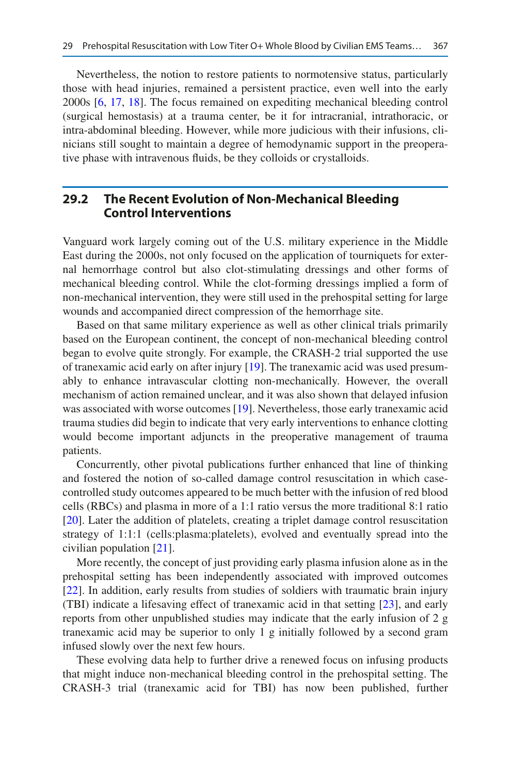Nevertheless, the notion to restore patients to normotensive status, particularly those with head injuries, remained a persistent practice, even well into the early 2000s [\[6](#page-9-3), [17,](#page-10-7) [18](#page-10-8)]. The focus remained on expediting mechanical bleeding control (surgical hemostasis) at a trauma center, be it for intracranial, intrathoracic, or intra-abdominal bleeding. However, while more judicious with their infusions, clinicians still sought to maintain a degree of hemodynamic support in the preoperative phase with intravenous fluids, be they colloids or crystalloids.

## **29.2 The Recent Evolution of Non-Mechanical Bleeding Control Interventions**

Vanguard work largely coming out of the U.S. military experience in the Middle East during the 2000s, not only focused on the application of tourniquets for external hemorrhage control but also clot-stimulating dressings and other forms of mechanical bleeding control. While the clot-forming dressings implied a form of non-mechanical intervention, they were still used in the prehospital setting for large wounds and accompanied direct compression of the hemorrhage site.

Based on that same military experience as well as other clinical trials primarily based on the European continent, the concept of non-mechanical bleeding control began to evolve quite strongly. For example, the CRASH-2 trial supported the use of tranexamic acid early on after injury [[19\]](#page-10-9). The tranexamic acid was used presumably to enhance intravascular clotting non-mechanically. However, the overall mechanism of action remained unclear, and it was also shown that delayed infusion was associated with worse outcomes [[19\]](#page-10-9). Nevertheless, those early tranexamic acid trauma studies did begin to indicate that very early interventions to enhance clotting would become important adjuncts in the preoperative management of trauma patients.

Concurrently, other pivotal publications further enhanced that line of thinking and fostered the notion of so-called damage control resuscitation in which casecontrolled study outcomes appeared to be much better with the infusion of red blood cells (RBCs) and plasma in more of a 1:1 ratio versus the more traditional 8:1 ratio [\[20](#page-10-10)]. Later the addition of platelets, creating a triplet damage control resuscitation strategy of 1:1:1 (cells:plasma:platelets), evolved and eventually spread into the civilian population [[21\]](#page-10-11).

More recently, the concept of just providing early plasma infusion alone as in the prehospital setting has been independently associated with improved outcomes [\[22](#page-10-12)]. In addition, early results from studies of soldiers with traumatic brain injury (TBI) indicate a lifesaving effect of tranexamic acid in that setting [\[23](#page-10-13)], and early reports from other unpublished studies may indicate that the early infusion of 2 g tranexamic acid may be superior to only 1 g initially followed by a second gram infused slowly over the next few hours.

These evolving data help to further drive a renewed focus on infusing products that might induce non-mechanical bleeding control in the prehospital setting. The CRASH-3 trial (tranexamic acid for TBI) has now been published, further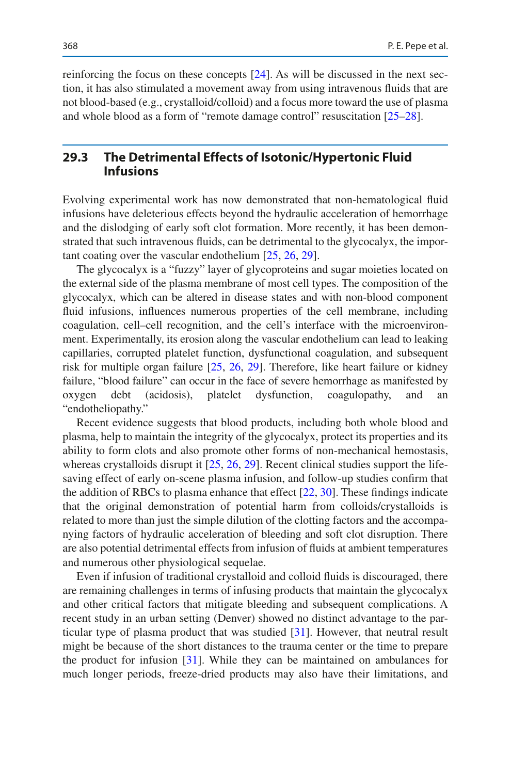reinforcing the focus on these concepts [[24\]](#page-10-14). As will be discussed in the next section, it has also stimulated a movement away from using intravenous fluids that are not blood-based (e.g., crystalloid/colloid) and a focus more toward the use of plasma and whole blood as a form of "remote damage control" resuscitation [[25–](#page-10-15)[28\]](#page-10-16).

#### **29.3 The Detrimental Effects of Isotonic/Hypertonic Fluid Infusions**

Evolving experimental work has now demonstrated that non-hematological fluid infusions have deleterious effects beyond the hydraulic acceleration of hemorrhage and the dislodging of early soft clot formation. More recently, it has been demonstrated that such intravenous fluids, can be detrimental to the glycocalyx, the important coating over the vascular endothelium [\[25](#page-10-15), [26](#page-10-17), [29](#page-11-0)].

The glycocalyx is a "fuzzy" layer of glycoproteins and sugar moieties located on the external side of the plasma membrane of most cell types. The composition of the glycocalyx, which can be altered in disease states and with non-blood component fluid infusions, influences numerous properties of the cell membrane, including coagulation, cell–cell recognition, and the cell's interface with the microenvironment. Experimentally, its erosion along the vascular endothelium can lead to leaking capillaries, corrupted platelet function, dysfunctional coagulation, and subsequent risk for multiple organ failure [\[25](#page-10-15), [26](#page-10-17), [29\]](#page-11-0). Therefore, like heart failure or kidney failure, "blood failure" can occur in the face of severe hemorrhage as manifested by oxygen debt (acidosis), platelet dysfunction, coagulopathy, and an "endotheliopathy."

Recent evidence suggests that blood products, including both whole blood and plasma, help to maintain the integrity of the glycocalyx, protect its properties and its ability to form clots and also promote other forms of non-mechanical hemostasis, whereas crystalloids disrupt it  $[25, 26, 29]$  $[25, 26, 29]$  $[25, 26, 29]$  $[25, 26, 29]$  $[25, 26, 29]$  $[25, 26, 29]$  $[25, 26, 29]$ . Recent clinical studies support the lifesaving effect of early on-scene plasma infusion, and follow-up studies confirm that the addition of RBCs to plasma enhance that effect [[22,](#page-10-12) [30](#page-11-1)]. These findings indicate that the original demonstration of potential harm from colloids/crystalloids is related to more than just the simple dilution of the clotting factors and the accompanying factors of hydraulic acceleration of bleeding and soft clot disruption. There are also potential detrimental effects from infusion of fluids at ambient temperatures and numerous other physiological sequelae.

Even if infusion of traditional crystalloid and colloid fluids is discouraged, there are remaining challenges in terms of infusing products that maintain the glycocalyx and other critical factors that mitigate bleeding and subsequent complications. A recent study in an urban setting (Denver) showed no distinct advantage to the particular type of plasma product that was studied [\[31](#page-11-2)]. However, that neutral result might be because of the short distances to the trauma center or the time to prepare the product for infusion [\[31](#page-11-2)]. While they can be maintained on ambulances for much longer periods, freeze-dried products may also have their limitations, and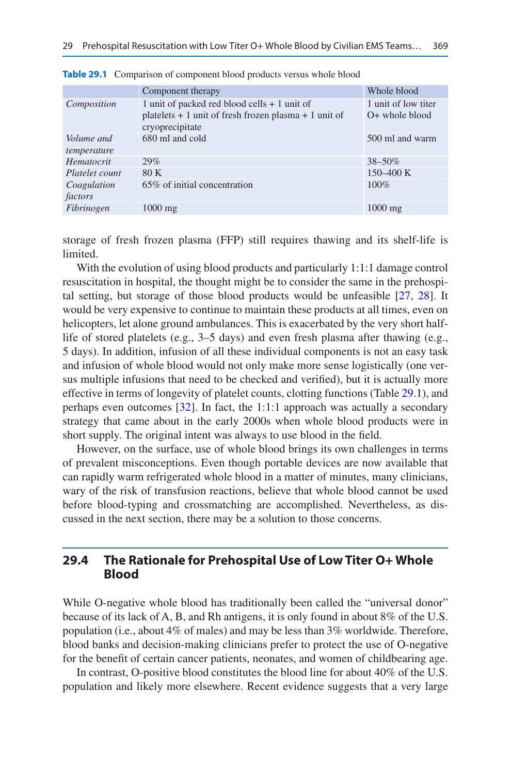|                           | Component therapy                                                                                                          | Whole blood                             |
|---------------------------|----------------------------------------------------------------------------------------------------------------------------|-----------------------------------------|
| Composition               | 1 unit of packed red blood cells + 1 unit of<br>platelets $+1$ unit of fresh frozen plasma $+1$ unit of<br>cryoprecipitate | 1 unit of low titer<br>$O+$ whole blood |
| Volume and<br>temperature | 680 ml and cold                                                                                                            | 500 ml and warm                         |
| Hematocrit                | 29%                                                                                                                        | $38 - 50\%$                             |
| Platelet count            | 80 K                                                                                                                       | $150 - 400$ K                           |
| Coagulation<br>factors    | 65% of initial concentration                                                                                               | $100\%$                                 |
| Fibrinogen                | $1000$ mg                                                                                                                  | $1000$ mg                               |

<span id="page-4-0"></span>**Table 29.1** Comparison of component blood products versus whole blood

storage of fresh frozen plasma (FFP) still requires thawing and its shelf-life is limited.

With the evolution of using blood products and particularly 1:1:1 damage control resuscitation in hospital, the thought might be to consider the same in the prehospital setting, but storage of those blood products would be unfeasible [\[27](#page-10-18), [28\]](#page-10-16). It would be very expensive to continue to maintain these products at all times, even on helicopters, let alone ground ambulances. This is exacerbated by the very short halflife of stored platelets (e.g., 3–5 days) and even fresh plasma after thawing (e.g., 5 days). In addition, infusion of all these individual components is not an easy task and infusion of whole blood would not only make more sense logistically (one versus multiple infusions that need to be checked and verified), but it is actually more effective in terms of longevity of platelet counts, clotting functions (Table [29.1](#page-4-0)), and perhaps even outcomes [\[32](#page-11-3)]. In fact, the 1:1:1 approach was actually a secondary strategy that came about in the early 2000s when whole blood products were in short supply. The original intent was always to use blood in the field.

However, on the surface, use of whole blood brings its own challenges in terms of prevalent misconceptions. Even though portable devices are now available that can rapidly warm refrigerated whole blood in a matter of minutes, many clinicians, wary of the risk of transfusion reactions, believe that whole blood cannot be used before blood-typing and crossmatching are accomplished. Nevertheless, as discussed in the next section, there may be a solution to those concerns.

#### **29.4 The Rationale for Prehospital Use of Low Titer O+ Whole Blood**

While O-negative whole blood has traditionally been called the "universal donor" because of its lack of A, B, and Rh antigens, it is only found in about 8% of the U.S. population (i.e., about 4% of males) and may be less than 3% worldwide. Therefore, blood banks and decision-making clinicians prefer to protect the use of O-negative for the benefit of certain cancer patients, neonates, and women of childbearing age.

In contrast, O-positive blood constitutes the blood line for about 40% of the U.S. population and likely more elsewhere. Recent evidence suggests that a very large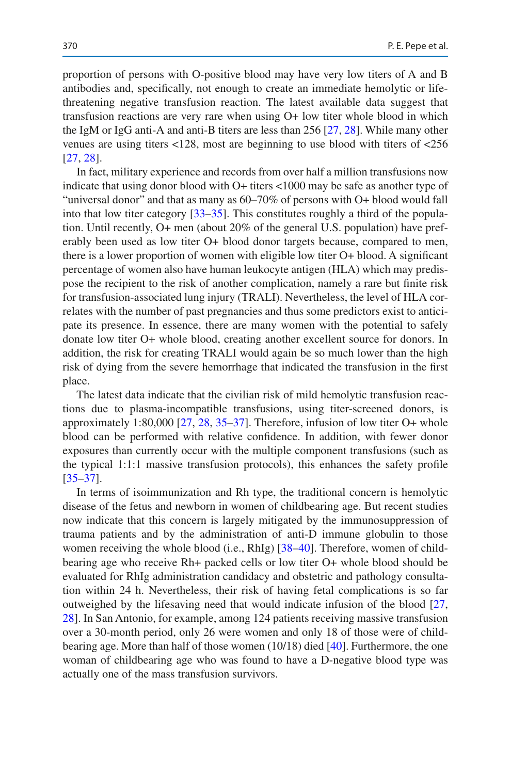proportion of persons with O-positive blood may have very low titers of A and B antibodies and, specifically, not enough to create an immediate hemolytic or lifethreatening negative transfusion reaction. The latest available data suggest that transfusion reactions are very rare when using O+ low titer whole blood in which the IgM or IgG anti-A and anti-B titers are less than 256 [[27,](#page-10-18) [28](#page-10-16)]. While many other venues are using titers <128, most are beginning to use blood with titers of <256 [\[27](#page-10-18), [28](#page-10-16)].

In fact, military experience and records from over half a million transfusions now indicate that using donor blood with O+ titers <1000 may be safe as another type of "universal donor" and that as many as 60–70% of persons with O+ blood would fall into that low titer category [[33–](#page-11-4)[35\]](#page-11-5). This constitutes roughly a third of the population. Until recently, O+ men (about 20% of the general U.S. population) have preferably been used as low titer O+ blood donor targets because, compared to men, there is a lower proportion of women with eligible low titer O+ blood. A significant percentage of women also have human leukocyte antigen (HLA) which may predispose the recipient to the risk of another complication, namely a rare but finite risk for transfusion-associated lung injury (TRALI). Nevertheless, the level of HLA correlates with the number of past pregnancies and thus some predictors exist to anticipate its presence. In essence, there are many women with the potential to safely donate low titer O+ whole blood, creating another excellent source for donors. In addition, the risk for creating TRALI would again be so much lower than the high risk of dying from the severe hemorrhage that indicated the transfusion in the first place.

The latest data indicate that the civilian risk of mild hemolytic transfusion reactions due to plasma-incompatible transfusions, using titer-screened donors, is approximately 1:80,000 [\[27](#page-10-18), [28](#page-10-16), [35–](#page-11-5)[37\]](#page-11-6). Therefore, infusion of low titer O+ whole blood can be performed with relative confidence. In addition, with fewer donor exposures than currently occur with the multiple component transfusions (such as the typical 1:1:1 massive transfusion protocols), this enhances the safety profile [\[35](#page-11-5)[–37](#page-11-6)].

In terms of isoimmunization and Rh type, the traditional concern is hemolytic disease of the fetus and newborn in women of childbearing age. But recent studies now indicate that this concern is largely mitigated by the immunosuppression of trauma patients and by the administration of anti-D immune globulin to those women receiving the whole blood (i.e., RhIg) [[38–](#page-11-7)[40\]](#page-11-8). Therefore, women of childbearing age who receive Rh+ packed cells or low titer O+ whole blood should be evaluated for RhIg administration candidacy and obstetric and pathology consultation within 24 h. Nevertheless, their risk of having fetal complications is so far outweighed by the lifesaving need that would indicate infusion of the blood [\[27](#page-10-18), [28\]](#page-10-16). In San Antonio, for example, among 124 patients receiving massive transfusion over a 30-month period, only 26 were women and only 18 of those were of childbearing age. More than half of those women (10/18) died [\[40](#page-11-8)]. Furthermore, the one woman of childbearing age who was found to have a D-negative blood type was actually one of the mass transfusion survivors.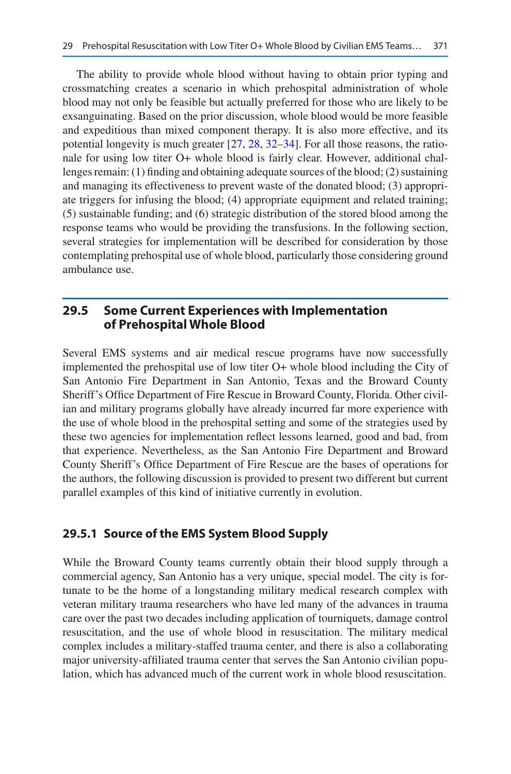The ability to provide whole blood without having to obtain prior typing and crossmatching creates a scenario in which prehospital administration of whole blood may not only be feasible but actually preferred for those who are likely to be exsanguinating. Based on the prior discussion, whole blood would be more feasible and expeditious than mixed component therapy. It is also more effective, and its potential longevity is much greater [[27,](#page-10-18) [28,](#page-10-16) [32–](#page-11-3)[34\]](#page-11-9). For all those reasons, the rationale for using low titer O+ whole blood is fairly clear. However, additional challenges remain: (1) finding and obtaining adequate sources of the blood; (2) sustaining and managing its effectiveness to prevent waste of the donated blood; (3) appropriate triggers for infusing the blood; (4) appropriate equipment and related training; (5) sustainable funding; and (6) strategic distribution of the stored blood among the response teams who would be providing the transfusions. In the following section, several strategies for implementation will be described for consideration by those contemplating prehospital use of whole blood, particularly those considering ground ambulance use.

## **29.5 Some Current Experiences with Implementation of Prehospital Whole Blood**

Several EMS systems and air medical rescue programs have now successfully implemented the prehospital use of low titer O+ whole blood including the City of San Antonio Fire Department in San Antonio, Texas and the Broward County Sheriff's Office Department of Fire Rescue in Broward County, Florida. Other civilian and military programs globally have already incurred far more experience with the use of whole blood in the prehospital setting and some of the strategies used by these two agencies for implementation reflect lessons learned, good and bad, from that experience. Nevertheless, as the San Antonio Fire Department and Broward County Sheriff's Office Department of Fire Rescue are the bases of operations for the authors, the following discussion is provided to present two different but current parallel examples of this kind of initiative currently in evolution.

## **29.5.1 Source of the EMS System Blood Supply**

While the Broward County teams currently obtain their blood supply through a commercial agency, San Antonio has a very unique, special model. The city is fortunate to be the home of a longstanding military medical research complex with veteran military trauma researchers who have led many of the advances in trauma care over the past two decades including application of tourniquets, damage control resuscitation, and the use of whole blood in resuscitation. The military medical complex includes a military-staffed trauma center, and there is also a collaborating major university-affiliated trauma center that serves the San Antonio civilian population, which has advanced much of the current work in whole blood resuscitation.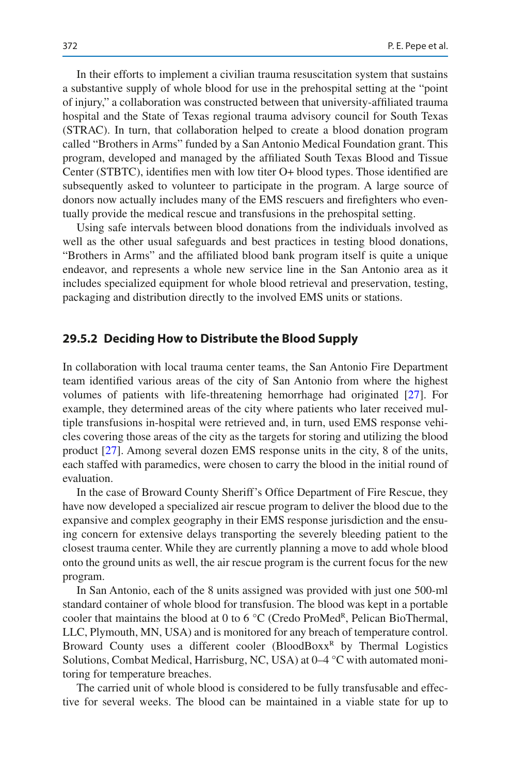In their efforts to implement a civilian trauma resuscitation system that sustains a substantive supply of whole blood for use in the prehospital setting at the "point of injury," a collaboration was constructed between that university-affiliated trauma hospital and the State of Texas regional trauma advisory council for South Texas (STRAC). In turn, that collaboration helped to create a blood donation program called "Brothers in Arms" funded by a San Antonio Medical Foundation grant. This program, developed and managed by the affiliated South Texas Blood and Tissue Center (STBTC), identifies men with low titer O+ blood types. Those identified are subsequently asked to volunteer to participate in the program. A large source of donors now actually includes many of the EMS rescuers and firefighters who eventually provide the medical rescue and transfusions in the prehospital setting.

Using safe intervals between blood donations from the individuals involved as well as the other usual safeguards and best practices in testing blood donations, "Brothers in Arms" and the affiliated blood bank program itself is quite a unique endeavor, and represents a whole new service line in the San Antonio area as it includes specialized equipment for whole blood retrieval and preservation, testing, packaging and distribution directly to the involved EMS units or stations.

#### **29.5.2 Deciding How to Distribute the Blood Supply**

In collaboration with local trauma center teams, the San Antonio Fire Department team identified various areas of the city of San Antonio from where the highest volumes of patients with life-threatening hemorrhage had originated [\[27](#page-10-18)]. For example, they determined areas of the city where patients who later received multiple transfusions in-hospital were retrieved and, in turn, used EMS response vehicles covering those areas of the city as the targets for storing and utilizing the blood product [[27\]](#page-10-18). Among several dozen EMS response units in the city, 8 of the units, each staffed with paramedics, were chosen to carry the blood in the initial round of evaluation.

In the case of Broward County Sheriff's Office Department of Fire Rescue, they have now developed a specialized air rescue program to deliver the blood due to the expansive and complex geography in their EMS response jurisdiction and the ensuing concern for extensive delays transporting the severely bleeding patient to the closest trauma center. While they are currently planning a move to add whole blood onto the ground units as well, the air rescue program is the current focus for the new program.

In San Antonio, each of the 8 units assigned was provided with just one 500-ml standard container of whole blood for transfusion. The blood was kept in a portable cooler that maintains the blood at 0 to 6  $\rm{^{\circ}C}$  (Credo ProMed<sup>R</sup>, Pelican BioThermal, LLC, Plymouth, MN, USA) and is monitored for any breach of temperature control. Broward County uses a different cooler (BloodBoxx<sup>R</sup> by Thermal Logistics Solutions, Combat Medical, Harrisburg, NC, USA) at 0–4 °C with automated monitoring for temperature breaches.

The carried unit of whole blood is considered to be fully transfusable and effective for several weeks. The blood can be maintained in a viable state for up to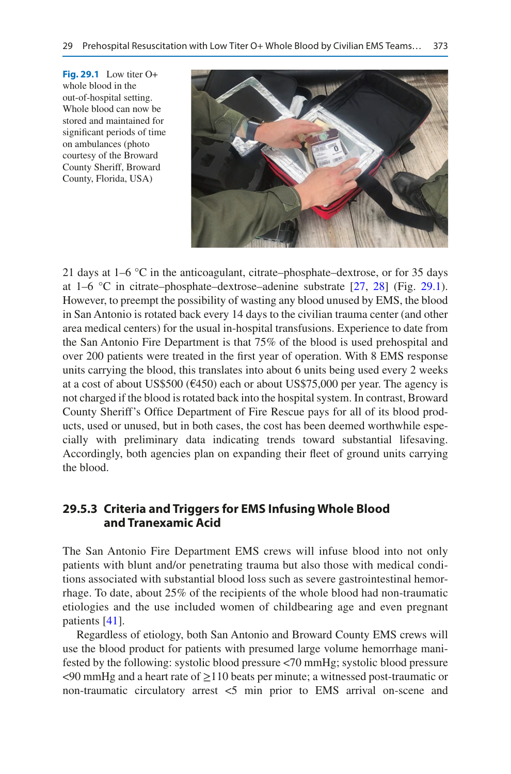<span id="page-8-0"></span>**Fig. 29.1** Low titer O+ whole blood in the out-of-hospital setting. Whole blood can now be stored and maintained for significant periods of time on ambulances (photo courtesy of the Broward County Sheriff, Broward County, Florida, USA)



21 days at 1–6 °C in the anticoagulant, citrate–phosphate–dextrose, or for 35 days at  $1-6$  °C in citrate–phosphate–dextrose–adenine substrate  $[27, 28]$  $[27, 28]$  $[27, 28]$  $[27, 28]$  (Fig. [29.1\)](#page-8-0). However, to preempt the possibility of wasting any blood unused by EMS, the blood in San Antonio is rotated back every 14 days to the civilian trauma center (and other area medical centers) for the usual in-hospital transfusions. Experience to date from the San Antonio Fire Department is that 75% of the blood is used prehospital and over 200 patients were treated in the first year of operation. With 8 EMS response units carrying the blood, this translates into about 6 units being used every 2 weeks at a cost of about US\$500 ( $\epsilon$ 450) each or about US\$75,000 per year. The agency is not charged if the blood is rotated back into the hospital system. In contrast, Broward County Sheriff's Office Department of Fire Rescue pays for all of its blood products, used or unused, but in both cases, the cost has been deemed worthwhile especially with preliminary data indicating trends toward substantial lifesaving. Accordingly, both agencies plan on expanding their fleet of ground units carrying the blood.

# **29.5.3 Criteria and Triggers for EMS Infusing Whole Blood and Tranexamic Acid**

The San Antonio Fire Department EMS crews will infuse blood into not only patients with blunt and/or penetrating trauma but also those with medical conditions associated with substantial blood loss such as severe gastrointestinal hemorrhage. To date, about 25% of the recipients of the whole blood had non-traumatic etiologies and the use included women of childbearing age and even pregnant patients [[41\]](#page-11-10).

Regardless of etiology, both San Antonio and Broward County EMS crews will use the blood product for patients with presumed large volume hemorrhage manifested by the following: systolic blood pressure <70 mmHg; systolic blood pressure <90 mmHg and a heart rate of ≥110 beats per minute; a witnessed post-traumatic or non-traumatic circulatory arrest <5 min prior to EMS arrival on-scene and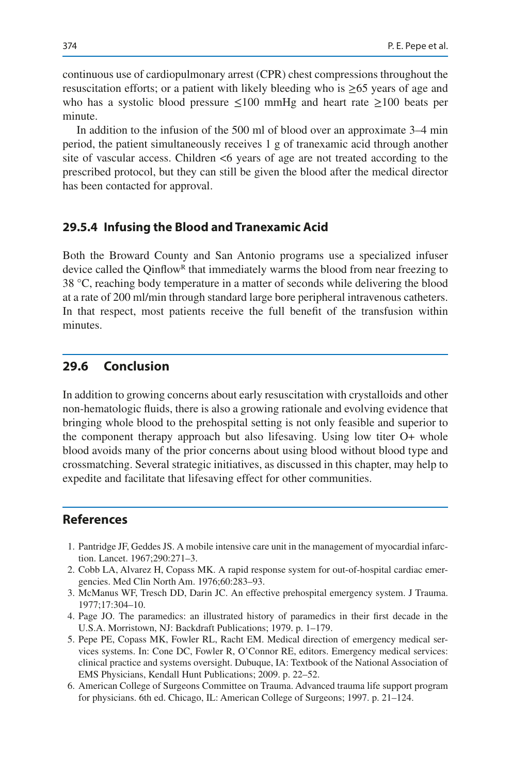continuous use of cardiopulmonary arrest (CPR) chest compressions throughout the resuscitation efforts; or a patient with likely bleeding who is  $\geq 65$  years of age and who has a systolic blood pressure  $\leq 100$  mmHg and heart rate  $\geq 100$  beats per minute.

In addition to the infusion of the 500 ml of blood over an approximate 3–4 min period, the patient simultaneously receives 1 g of tranexamic acid through another site of vascular access. Children <6 years of age are not treated according to the prescribed protocol, but they can still be given the blood after the medical director has been contacted for approval.

#### **29.5.4 Infusing the Blood and Tranexamic Acid**

Both the Broward County and San Antonio programs use a specialized infuser device called the  $Qinflow<sup>R</sup>$  that immediately warms the blood from near freezing to 38 °C, reaching body temperature in a matter of seconds while delivering the blood at a rate of 200 ml/min through standard large bore peripheral intravenous catheters. In that respect, most patients receive the full benefit of the transfusion within minutes.

#### **29.6 Conclusion**

In addition to growing concerns about early resuscitation with crystalloids and other non-hematologic fluids, there is also a growing rationale and evolving evidence that bringing whole blood to the prehospital setting is not only feasible and superior to the component therapy approach but also lifesaving. Using low titer O+ whole blood avoids many of the prior concerns about using blood without blood type and crossmatching. Several strategic initiatives, as discussed in this chapter, may help to expedite and facilitate that lifesaving effect for other communities.

## **References**

- <span id="page-9-0"></span>1. Pantridge JF, Geddes JS. A mobile intensive care unit in the management of myocardial infarction. Lancet. 1967;290:271–3.
- 2. Cobb LA, Alvarez H, Copass MK. A rapid response system for out-of-hospital cardiac emergencies. Med Clin North Am. 1976;60:283–93.
- <span id="page-9-1"></span>3. McManus WF, Tresch DD, Darin JC. An effective prehospital emergency system. J Trauma. 1977;17:304–10.
- 4. Page JO. The paramedics: an illustrated history of paramedics in their first decade in the U.S.A. Morristown, NJ: Backdraft Publications; 1979. p. 1–179.
- <span id="page-9-2"></span>5. Pepe PE, Copass MK, Fowler RL, Racht EM. Medical direction of emergency medical services systems. In: Cone DC, Fowler R, O'Connor RE, editors. Emergency medical services: clinical practice and systems oversight. Dubuque, IA: Textbook of the National Association of EMS Physicians, Kendall Hunt Publications; 2009. p. 22–52.
- <span id="page-9-3"></span>6. American College of Surgeons Committee on Trauma. Advanced trauma life support program for physicians. 6th ed. Chicago, IL: American College of Surgeons; 1997. p. 21–124.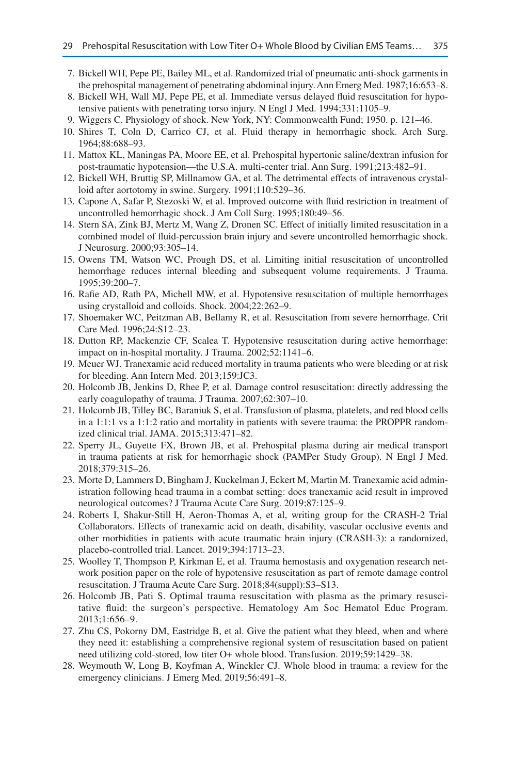- <span id="page-10-4"></span>7. Bickell WH, Pepe PE, Bailey ML, et al. Randomized trial of pneumatic anti-shock garments in the prehospital management of penetrating abdominal injury. Ann Emerg Med. 1987;16:653–8.
- <span id="page-10-0"></span>8. Bickell WH, Wall MJ, Pepe PE, et al. Immediate versus delayed fluid resuscitation for hypotensive patients with penetrating torso injury. N Engl J Med. 1994;331:1105–9.
- <span id="page-10-1"></span>9. Wiggers C. Physiology of shock. New York, NY: Commonwealth Fund; 1950. p. 121–46.
- <span id="page-10-2"></span>10. Shires T, Coln D, Carrico CJ, et al. Fluid therapy in hemorrhagic shock. Arch Surg. 1964;88:688–93.
- <span id="page-10-3"></span>11. Mattox KL, Maningas PA, Moore EE, et al. Prehospital hypertonic saline/dextran infusion for post-traumatic hypotension—the U.S.A. multi-center trial. Ann Surg. 1991;213:482–91.
- <span id="page-10-5"></span>12. Bickell WH, Bruttig SP, Millnamow GA, et al. The detrimental effects of intravenous crystalloid after aortotomy in swine. Surgery. 1991;110:529–36.
- 13. Capone A, Safar P, Stezoski W, et al. Improved outcome with fluid restriction in treatment of uncontrolled hemorrhagic shock. J Am Coll Surg. 1995;180:49–56.
- 14. Stern SA, Zink BJ, Mertz M, Wang Z, Dronen SC. Effect of initially limited resuscitation in a combined model of fluid-percussion brain injury and severe uncontrolled hemorrhagic shock. J Neurosurg. 2000;93:305–14.
- 15. Owens TM, Watson WC, Prough DS, et al. Limiting initial resuscitation of uncontrolled hemorrhage reduces internal bleeding and subsequent volume requirements. J Trauma. 1995;39:200–7.
- <span id="page-10-6"></span>16. Rafie AD, Rath PA, Michell MW, et al. Hypotensive resuscitation of multiple hemorrhages using crystalloid and colloids. Shock. 2004;22:262–9.
- <span id="page-10-7"></span>17. Shoemaker WC, Peitzman AB, Bellamy R, et al. Resuscitation from severe hemorrhage. Crit Care Med. 1996;24:S12–23.
- <span id="page-10-8"></span>18. Dutton RP, Mackenzie CF, Scalea T. Hypotensive resuscitation during active hemorrhage: impact on in-hospital mortality. J Trauma. 2002;52:1141–6.
- <span id="page-10-9"></span>19. Meuer WJ. Tranexamic acid reduced mortality in trauma patients who were bleeding or at risk for bleeding. Ann Intern Med. 2013;159:JC3.
- <span id="page-10-10"></span>20. Holcomb JB, Jenkins D, Rhee P, et al. Damage control resuscitation: directly addressing the early coagulopathy of trauma. J Trauma. 2007;62:307-10.
- <span id="page-10-11"></span>21. Holcomb JB, Tilley BC, Baraniuk S, et al. Transfusion of plasma, platelets, and red blood cells in a 1:1:1 vs a 1:1:2 ratio and mortality in patients with severe trauma: the PROPPR randomized clinical trial. JAMA. 2015;313:471–82.
- <span id="page-10-12"></span>22. Sperry JL, Guyette FX, Brown JB, et al. Prehospital plasma during air medical transport in trauma patients at risk for hemorrhagic shock (PAMPer Study Group). N Engl J Med. 2018;379:315–26.
- <span id="page-10-13"></span>23. Morte D, Lammers D, Bingham J, Kuckelman J, Eckert M, Martin M. Tranexamic acid administration following head trauma in a combat setting: does tranexamic acid result in improved neurological outcomes? J Trauma Acute Care Surg. 2019;87:125–9.
- <span id="page-10-14"></span>24. Roberts I, Shakur-Still H, Aeron-Thomas A, et al, writing group for the CRASH-2 Trial Collaborators. Effects of tranexamic acid on death, disability, vascular occlusive events and other morbidities in patients with acute traumatic brain injury (CRASH-3): a randomized, placebo-controlled trial. Lancet. 2019;394:1713–23.
- <span id="page-10-15"></span>25. Woolley T, Thompson P, Kirkman E, et al. Trauma hemostasis and oxygenation research network position paper on the role of hypotensive resuscitation as part of remote damage control resuscitation. J Trauma Acute Care Surg. 2018;84(suppl):S3–S13.
- <span id="page-10-17"></span>26. Holcomb JB, Pati S. Optimal trauma resuscitation with plasma as the primary resuscitative fluid: the surgeon's perspective. Hematology Am Soc Hematol Educ Program. 2013;1:656–9.
- <span id="page-10-18"></span>27. Zhu CS, Pokorny DM, Eastridge B, et al. Give the patient what they bleed, when and where they need it: establishing a comprehensive regional system of resuscitation based on patient need utilizing cold-stored, low titer O+ whole blood. Transfusion. 2019;59:1429–38.
- <span id="page-10-16"></span>28. Weymouth W, Long B, Koyfman A, Winckler CJ. Whole blood in trauma: a review for the emergency clinicians. J Emerg Med. 2019;56:491–8.